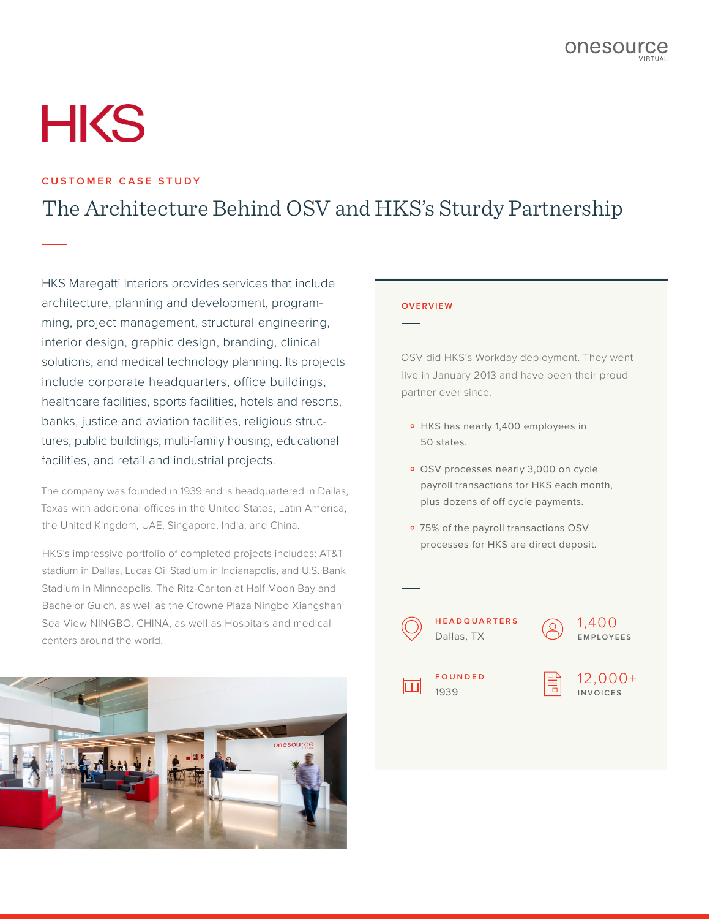# **HKS**

# **CUSTOMER CASE STUDY**

# The Architecture Behind OSV and HKS's Sturdy Partnership

HKS Maregatti Interiors provides services that include architecture, planning and development, programming, project management, structural engineering, interior design, graphic design, branding, clinical solutions, and medical technology planning. Its projects include corporate headquarters, office buildings, healthcare facilities, sports facilities, hotels and resorts, banks, justice and aviation facilities, religious structures, public buildings, multi-family housing, educational facilities, and retail and industrial projects.

The company was founded in 1939 and is headquartered in Dallas, Texas with additional offices in the United States, Latin America, the United Kingdom, UAE, Singapore, India, and China.

HKS's impressive portfolio of completed projects includes: AT&T stadium in Dallas, Lucas Oil Stadium in Indianapolis, and U.S. Bank Stadium in Minneapolis. The Ritz-Carlton at Half Moon Bay and Bachelor Gulch, as well as the Crowne Plaza Ningbo Xiangshan Sea View NINGBO, CHINA, as well as Hospitals and medical centers around the world.



#### **OVERVIEW**

OSV did HKS's Workday deployment. They went live in January 2013 and have been their proud partner ever since.

- o HKS has nearly 1,400 employees in 50 states.
- · OSV processes nearly 3,000 on cycle payroll transactions for HKS each month, plus dozens of off cycle payments.
- o 75% of the payroll transactions OSV processes for HKS are direct deposit.





**F O U N D E D**  1939

12,000+ **INVOICES**